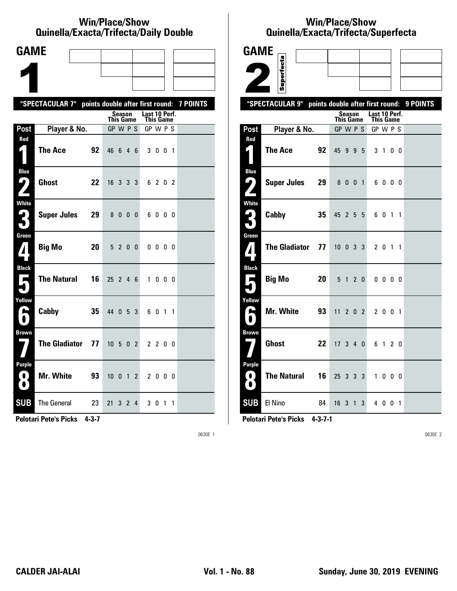#### **Win/Place/Show Qui nel la/Exacta/Tri fecta/Daily Dou ble**

| <b>GAME</b>                    |                                                           |    |                  |                |   |                            |              |                |   |  |
|--------------------------------|-----------------------------------------------------------|----|------------------|----------------|---|----------------------------|--------------|----------------|---|--|
|                                |                                                           |    |                  |                |   |                            |              |                |   |  |
|                                |                                                           |    |                  |                |   |                            |              |                |   |  |
|                                | "SPECTACULAR 7" points double after first round: 7 POINTS |    |                  |                |   |                            |              |                |   |  |
|                                |                                                           |    | <b>This Game</b> | Season         |   | Last 10 Perf.<br>This Game |              |                |   |  |
| Post                           | Player & No.                                              |    | GP W P S         |                |   | GP W P S                   |              |                |   |  |
| Red<br>$\mathbf{I}$ )          | <b>The Ace</b>                                            | 92 | 46 6 4 6         |                |   |                            | 3 0 0 1      |                |   |  |
| <b>Blue</b><br>7               | <b>Ghost</b>                                              | 22 | 16 3 3 3         |                |   |                            | 6 2 0 2      |                |   |  |
| <b>White</b><br>3              | <b>Super Jules</b>                                        | 29 |                  | 8000           |   |                            | 6000         |                |   |  |
| Green<br>$\mathbf{Z}$          | <b>Big Mo</b>                                             | 20 |                  | 5 2 0 0        |   |                            | $0\,0\,0\,0$ |                |   |  |
| <b>Black</b><br>$\blacksquare$ | <b>The Natural</b>                                        | 16 | $25$ 2 4 6       |                |   |                            | 1000         |                |   |  |
| Yellow<br>A                    | Cabby                                                     | 35 | 44 0 5 3         |                |   |                            | 6 0 1 1      |                |   |  |
| <b>Brown</b>                   | <b>The Gladiator</b>                                      | 77 | $10 \t5 \t0 \t2$ |                |   |                            | 2 2 0 0      |                |   |  |
| <b>Purple</b><br>0)<br>O       | <b>Mr. White</b>                                          | 93 | $10 \t0 \t1 \t2$ |                |   |                            | 2 0 0 0      |                |   |  |
| <b>SUB</b>                     | <b>The General</b>                                        | 23 | 21               | 3 <sub>2</sub> | 4 |                            | 30           | $\overline{1}$ | 1 |  |

**Pelotari Pete's Picks 4-3-7**

0630E 1

# **Win/Place/Show Qui nel la/Exacta/Tri fecta/Super fecta**

| <b>GAME</b>                 |                      |    |                  |                |                |                            |              |                   |                |                                           |
|-----------------------------|----------------------|----|------------------|----------------|----------------|----------------------------|--------------|-------------------|----------------|-------------------------------------------|
|                             |                      |    |                  |                |                |                            |              |                   |                |                                           |
|                             | Superfecta           |    |                  |                |                |                            |              |                   |                |                                           |
|                             | "SPECTACULAR 9"      |    |                  |                |                |                            |              |                   |                | points double after first round: 9 POINTS |
|                             |                      |    | <b>This Game</b> | <b>Season</b>  |                | Last 10 Perf.<br>This Game |              |                   |                |                                           |
| Post                        | Player & No.         |    | GP W P S         |                |                | GP W P S                   |              |                   |                |                                           |
| Red                         |                      |    |                  |                |                |                            |              |                   |                |                                           |
| $\mathbf{z}$ 1              | <b>The Ace</b>       | 92 | 45 9 9 5         |                |                | 3 <sub>1</sub>             |              |                   | 0 <sub>0</sub> |                                           |
| <b>Blue</b>                 | <b>Super Jules</b>   | 29 |                  |                |                |                            | 6000         |                   |                |                                           |
| ر پا                        |                      |    |                  | 8 0 0 1        |                |                            |              |                   |                |                                           |
| <b>White</b><br>$\mathbf 6$ |                      | 35 |                  |                |                |                            |              |                   |                |                                           |
| ∫`                          | Cabby                |    | 45 2 5 5         |                |                |                            | 6 0 1 1      |                   |                |                                           |
| Green                       |                      |    |                  |                |                |                            |              |                   |                |                                           |
| ${\bf Z}$                   | <b>The Gladiator</b> | 77 | $10 \t0 \t3 \t3$ |                |                |                            | 2 0 1 1      |                   |                |                                           |
| <b>Black</b>                |                      |    |                  |                |                |                            |              |                   |                |                                           |
| Е                           | <b>Big Mo</b>        | 20 |                  | 5 <sub>1</sub> | 2 <sub>0</sub> |                            | $0\ 0\ 0\ 0$ |                   |                |                                           |
| Yellow                      |                      |    |                  |                |                |                            |              |                   |                |                                           |
| یم                          | Mr. White            | 93 | $11 \t2 \t0 \t2$ |                |                |                            | 2 0 0 1      |                   |                |                                           |
| <b>Brown</b>                |                      |    |                  |                |                |                            |              |                   |                |                                           |
|                             | <b>Ghost</b>         | 22 | 17340            |                |                |                            | 6 1 2 0      |                   |                |                                           |
| Purple                      |                      |    |                  |                |                |                            |              |                   |                |                                           |
| 0<br>$\bullet$              | <b>The Natural</b>   | 16 | 25 3 3 3         |                |                | $\mathbf{1}$               |              | $0\quad 0\quad 0$ |                |                                           |
| <b>SUB</b>                  | El Nino              | 84 | $16$ 3 1 3       |                |                |                            | 4 0 0 1      |                   |                |                                           |

**Pelotari Pete's Picks 4-3-7-1**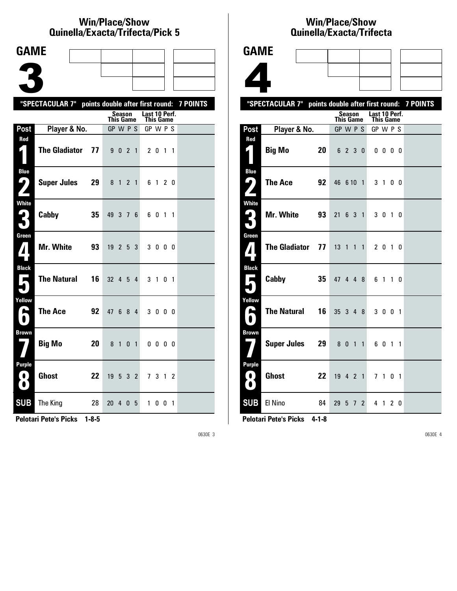#### **Win/Place/Show Qui nel la/Exacta/Tri fecta/Pick 5**

| <b>GAME</b>                         |                                                           |    |                              |                   |                |                |               |              |     |  |
|-------------------------------------|-----------------------------------------------------------|----|------------------------------|-------------------|----------------|----------------|---------------|--------------|-----|--|
|                                     |                                                           |    |                              |                   |                |                |               |              |     |  |
|                                     |                                                           |    |                              |                   |                |                |               |              |     |  |
|                                     | "SPECTACULAR 7" points double after first round: 7 POINTS |    |                              |                   |                |                |               |              |     |  |
|                                     |                                                           |    |                              | <b>Season</b>     |                |                | Last 10 Perf. |              |     |  |
| Post                                | Player & No.                                              |    | <b>This Game</b><br>GP W P S |                   |                |                | GP W P S      | This Game    |     |  |
| Red<br>$\boldsymbol{\zeta}$ )       | <b>The Gladiator</b>                                      | 77 |                              | 9 0 2 1           |                |                |               | 2 0 1 1      |     |  |
| <b>Blue</b><br>9                    | <b>Super Jules</b>                                        | 29 |                              | 8 1               | 2 <sub>1</sub> |                |               | 6 1 2 0      |     |  |
| <b>White</b><br>2<br>$\blacksquare$ | Cabby                                                     | 35 | 49                           |                   | 376            |                |               | 6 0 1 1      |     |  |
| Green                               | Mr. White                                                 | 93 | 19                           | $2\quad 5\quad 3$ |                |                |               | 3000         |     |  |
| <b>Black</b><br>$\blacksquare$      | <b>The Natural</b>                                        | 16 | 32 4 5                       |                   |                | 4              |               | 3 1 0 1      |     |  |
| Yellow<br>E                         | <b>The Ace</b>                                            | 92 | 47                           | 6                 | 8              | $\overline{4}$ |               | 3 0 0 0      |     |  |
| <b>Brown</b>                        | <b>Big Mo</b>                                             | 20 | 8 1                          |                   | $\mathbf{0}$   | $\overline{1}$ |               | $0\ 0\ 0\ 0$ |     |  |
| Purple<br>. O J<br>$\bullet$        | <b>Ghost</b>                                              | 22 | 19                           |                   | 5 3 2          |                |               | 7 3 1        | - 2 |  |
| <b>SUB</b>                          | The King                                                  | 28 | 20                           | 4                 | 0              | 5              | 1             | $0 \t0 \t1$  |     |  |

**Pelotari Pete's Picks 1-8-5**

0630E 3

### **Win/Place/Show Qui nel la/Exacta/Tri fecta**



| The Ace            |                                 |                                                                              |                |                                                 |                                                                                              |    |                                                                                                                                                                                                                           |
|--------------------|---------------------------------|------------------------------------------------------------------------------|----------------|-------------------------------------------------|----------------------------------------------------------------------------------------------|----|---------------------------------------------------------------------------------------------------------------------------------------------------------------------------------------------------------------------------|
|                    |                                 |                                                                              |                |                                                 |                                                                                              |    |                                                                                                                                                                                                                           |
| <b>Mr. White</b>   |                                 |                                                                              |                |                                                 |                                                                                              |    |                                                                                                                                                                                                                           |
|                    |                                 |                                                                              |                |                                                 |                                                                                              |    |                                                                                                                                                                                                                           |
|                    |                                 |                                                                              |                |                                                 |                                                                                              |    |                                                                                                                                                                                                                           |
|                    |                                 |                                                                              |                |                                                 |                                                                                              |    |                                                                                                                                                                                                                           |
| Cabby              |                                 |                                                                              |                |                                                 |                                                                                              |    |                                                                                                                                                                                                                           |
|                    |                                 |                                                                              |                |                                                 |                                                                                              |    |                                                                                                                                                                                                                           |
| <b>The Natural</b> |                                 |                                                                              |                |                                                 |                                                                                              |    |                                                                                                                                                                                                                           |
|                    |                                 |                                                                              |                |                                                 |                                                                                              |    |                                                                                                                                                                                                                           |
|                    |                                 |                                                                              |                |                                                 |                                                                                              |    |                                                                                                                                                                                                                           |
|                    |                                 |                                                                              |                |                                                 |                                                                                              |    |                                                                                                                                                                                                                           |
|                    |                                 |                                                                              |                |                                                 |                                                                                              |    |                                                                                                                                                                                                                           |
| El Nino            |                                 |                                                                              | $\overline{2}$ |                                                 |                                                                                              |    |                                                                                                                                                                                                                           |
|                    | Player & No.<br>Big Mo<br>Ghost | 20<br>92<br>93<br>The Gladiator 77<br>35<br>16<br>Super Jules 29<br>22<br>84 |                | Season<br><b>This Game</b><br>6 2 3 0<br>29 5 7 | GP W P S<br>46 6 10 1<br>21 6 3 1<br>13 1 1 1<br>47 4 4 8<br>35 3 4 8<br>8 0 1 1<br>19 4 2 1 | 41 | "SPECTACULAR 7" points double after first round: 7 POINTS<br>Last 10 Perf.<br><b>This Game</b><br>GP W P S<br>$0\,0\,0\,0$<br>3 1 0 0<br>3 0 1 0<br>2 0 1 0<br>6 1 1 0<br>3 0 0 1<br>6 0 1 1<br>7 1 0 1<br>2 <sub>0</sub> |

**Pelotari Pete's Picks 4-1-8**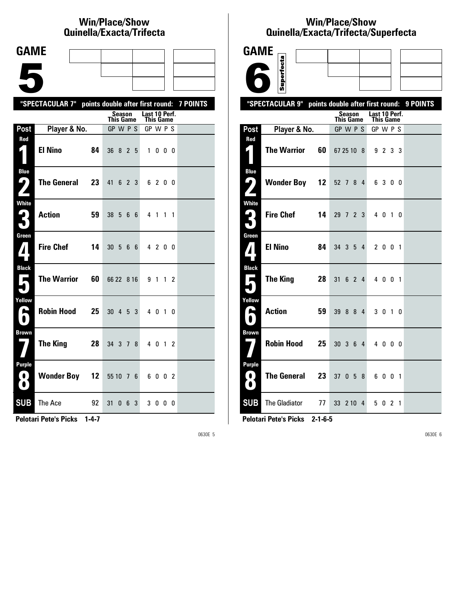# **Win/Place/Show Qui nel la/Exacta/Tri fecta**

| <b>GAME</b>                                             |                                                           |    |                      |   |               |           |  |
|---------------------------------------------------------|-----------------------------------------------------------|----|----------------------|---|---------------|-----------|--|
|                                                         |                                                           |    |                      |   |               |           |  |
|                                                         |                                                           |    |                      |   |               |           |  |
|                                                         | "SPECTACULAR 7" points double after first round: 7 POINTS |    |                      |   |               |           |  |
|                                                         |                                                           |    | Season<br>This Game  |   | Last 10 Perf. | This Game |  |
| Post                                                    | Player & No.                                              |    | GP W P S             |   |               | GP W P S  |  |
| Red                                                     | <b>El Nino</b>                                            | 84 | 36 8 2 5             |   |               | 1000      |  |
| <b>Blue</b><br>7<br>$\mathbf{z}$                        | <b>The General</b>                                        | 23 | 41<br>6 2 3          |   |               | 6 2 0 0   |  |
| <b>White</b><br>3                                       | <b>Action</b>                                             | 59 | 38 5 6               | 6 |               | 4 1 1 1   |  |
| Green<br>$\mathbf{Z}$                                   | <b>Fire Chef</b>                                          | 14 | 30 5 6 6             |   |               | 4 2 0 0   |  |
| <b>Black</b><br>$\blacksquare$                          | <b>The Warrior</b>                                        | 60 | 66 22 8 16           |   |               | 9 1 1 2   |  |
| Yellow<br>H                                             | <b>Robin Hood</b>                                         | 25 | $30 \t4 \t5 \t3$     |   |               | 4 0 1 0   |  |
| <b>Brown</b>                                            | <b>The King</b>                                           | 28 | 34 3 7               | 8 |               | 4 0 1 2   |  |
| <b>Purple</b><br>$\left( 0\right)$<br>$\mathbf{\Omega}$ | <b>Wonder Boy 12</b>                                      |    | 55 10 7 6            |   |               | 6002      |  |
| <b>SUB</b>                                              | The Ace                                                   | 92 | 31<br>0 <sub>6</sub> | 3 |               | 3000      |  |

**Pelotari Pete's Picks 1-4-7**

0630E 5

# **Win/Place/Show Qui nel la/Exacta/Tri fecta/Super fecta**



**Pelotari Pete's Picks 2-1-6-5**